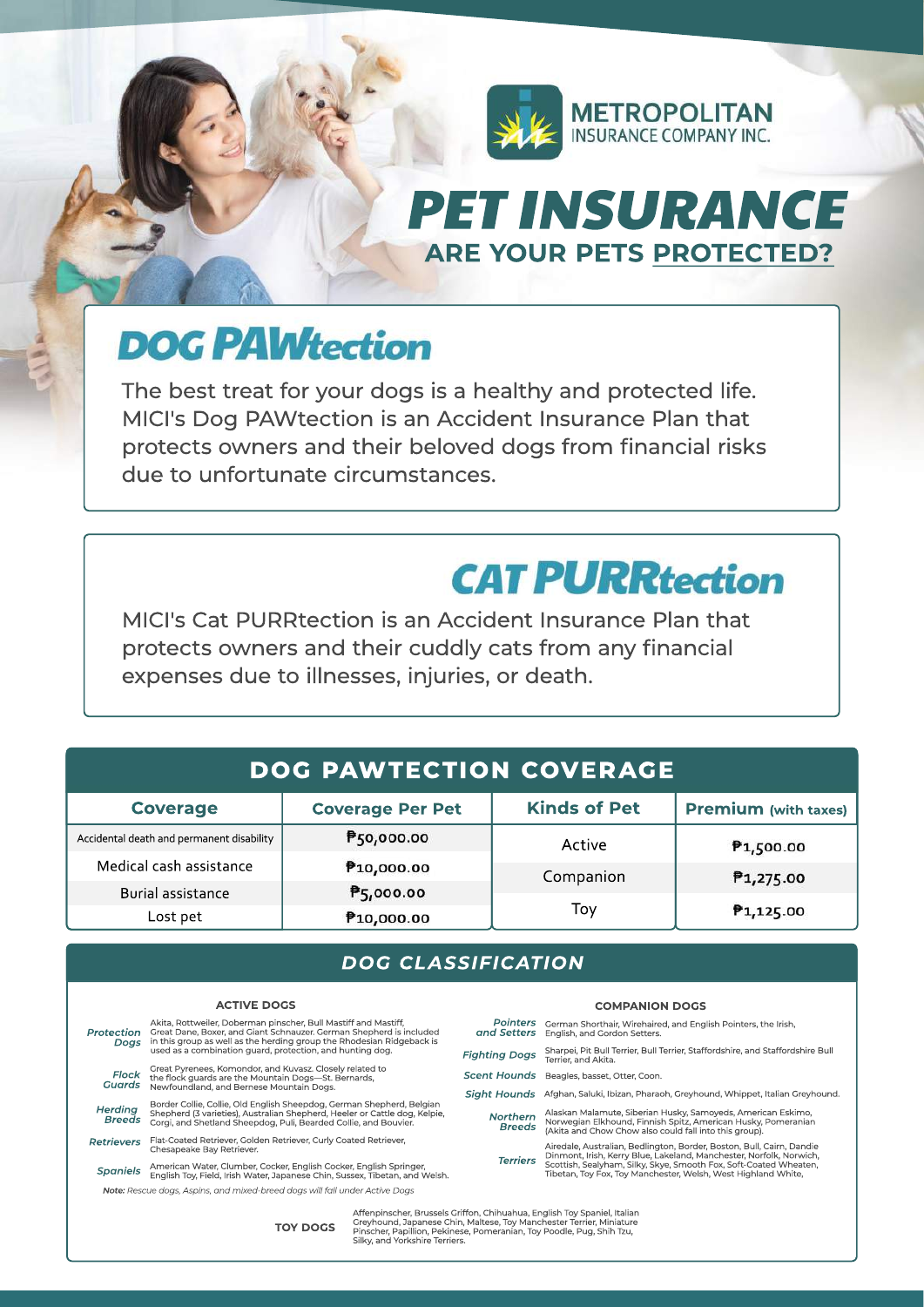

## **PET INSURANCE** ARE YOUR PETS PROTECTED?

# **DOG PAWtection**

The best treat for your dogs is a healthy and protected life. MICI's Dog PAWtection is an Accident Insurance Plan that protects owners and their beloved dogs from financial risks due to unfortunate circumstances.

## **CAT PURRtection**

**COMPANION DOGS** 

MICI's Cat PURRtection is an Accident Insurance Plan that protects owners and their cuddly cats from any financial expenses due to illnesses, injuries, or death.

## **DOG PAW TECTION COVERAGE**

| <b>Coverage</b>                           | <b>Coverage Per Pet</b> | <b>Kinds of Pet</b> | <b>Premium</b> (with taxes) |
|-------------------------------------------|-------------------------|---------------------|-----------------------------|
| Accidental death and permanent disability | P50,000.00              | Active              | ₹1,500.00                   |
| Medical cash assistance                   | P <sub>10</sub> ,000.00 | Companion           | P <sub>1,275.00</sub>       |
| Burial assistance                         | ₱5,000.00               |                     |                             |
| Lost pet                                  | P <sub>10</sub> ,000.00 | Тоу                 | P <sub>1</sub> ,125.00      |

## *DOG CLASSIFICATION*

#### **ACTIVEDOGS**

**TOYDOGS**

| Protection<br>Doas                                                       | Akita, Rottweiler, Doberman pinscher, Bull Mastiff and Mastiff,<br>Great Dane, Boxer, and Giant Schnauzer, German Shepherd is included<br>in this group as well as the herding group the Rhodesian Ridgeback is         | <b>Pointers</b><br>and Setters | German Shorthair, Wirehaired, and English Pointers, the Irish.<br>English, and Gordon Setters.                                                                                                                                                                                     |  |  |
|--------------------------------------------------------------------------|-------------------------------------------------------------------------------------------------------------------------------------------------------------------------------------------------------------------------|--------------------------------|------------------------------------------------------------------------------------------------------------------------------------------------------------------------------------------------------------------------------------------------------------------------------------|--|--|
|                                                                          | used as a combination guard, protection, and hunting dog.                                                                                                                                                               | <b>Fighting Dogs</b>           | Sharpei, Pit Bull Terrier, Bull Terrier, Staffordshire, and Staffordshire Bull<br>Terrier, and Akita.                                                                                                                                                                              |  |  |
| Flock<br>Guards                                                          | Great Pyrenees, Komondor, and Kuvasz, Closely related to<br>the flock quards are the Mountain Dogs-St. Bernards.<br>Newfoundland, and Bernese Mountain Dogs.                                                            | <b>Scent Hounds</b>            | Beagles, basset, Otter, Coon.                                                                                                                                                                                                                                                      |  |  |
|                                                                          |                                                                                                                                                                                                                         | Siaht Hounds                   | Afghan, Saluki, Ibizan, Pharaoh, Greyhound, Whippet, Italian Greyhound.                                                                                                                                                                                                            |  |  |
| Herding<br><b>Breeds</b>                                                 | Border Collie, Collie, Old English Sheepdog, German Shepherd, Belgian<br>Shepherd (3 varieties), Australian Shepherd, Heeler or Cattle dog, Kelpie,<br>Corgi, and Shetland Sheepdog, Puli, Bearded Collie, and Bouvier. | Northern<br><b>Breeds</b>      | Alaskan Malamute, Siberian Husky, Samoyeds, American Eskimo,<br>Norwegian Elkhound, Finnish Spitz, American Husky, Pomeranian<br>(Akita and Chow Chow also could fall into this group).                                                                                            |  |  |
| Retrievers                                                               | Flat-Coated Retriever, Golden Retriever, Curly Coated Retriever,<br>Chesapeake Bay Retriever.                                                                                                                           |                                | Airedale, Australian, Bedlington, Border, Boston, Bull, Cairn, Dandie<br>Dinmont, Irish, Kerry Blue, Lakeland, Manchester, Norfolk, Norwich,<br>Scottish, Sealyham, Silky, Skye, Smooth Fox, Soft-Coated Wheaten,<br>Tibetan, Toy Fox, Toy Manchester, Welsh, West Highland White, |  |  |
| Spaniels                                                                 | American Water, Clumber, Cocker, English Cocker, English Springer,<br>English Tov, Field, Irish Water, Japanese Chin, Sussex, Tibetan, and Welsh,                                                                       | <b>Terriers</b>                |                                                                                                                                                                                                                                                                                    |  |  |
|                                                                          | Note: Rescue dogs, Aspins, and mixed-breed dogs will fall under Active Dogs                                                                                                                                             |                                |                                                                                                                                                                                                                                                                                    |  |  |
| Affenpinscher, Brussels Griffon, Chihuahua, English Toy Spaniel, Italian |                                                                                                                                                                                                                         |                                |                                                                                                                                                                                                                                                                                    |  |  |

Affenpinscher, Brussels Griffon, Chihuahua, English Toy Spaniel, Italian<br>Greyhound, Japanese Chin, Maltese, Toy Manchester Terrier, Miniature<br>Pinscher, Papillion, Pekinese, Pomeranian, Toy Poodle, Pug, Shih Tzu,<br>Silky, and